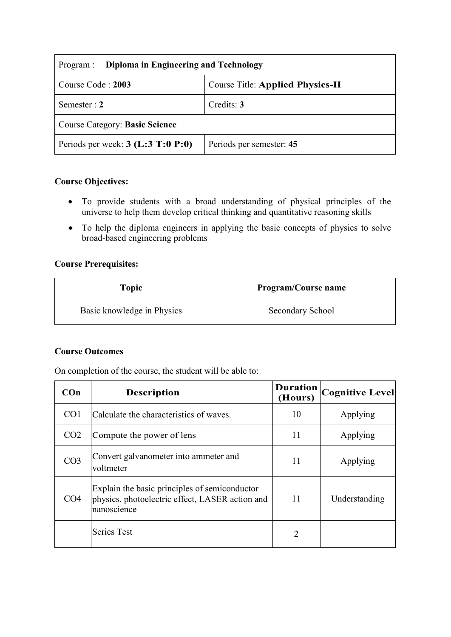| Diploma in Engineering and Technology<br>Program :           |                          |  |  |
|--------------------------------------------------------------|--------------------------|--|--|
| <b>Course Title: Applied Physics-II</b><br>Course Code: 2003 |                          |  |  |
| Semester : $2$                                               | Credits: 3               |  |  |
| <b>Course Category: Basic Science</b>                        |                          |  |  |
| Periods per week: $3$ (L:3 T:0 P:0)                          | Periods per semester: 45 |  |  |

### **Course Objectives:**

- To provide students with a broad understanding of physical principles of the universe to help them develop critical thinking and quantitative reasoning skills
- To help the diploma engineers in applying the basic concepts of physics to solve broad-based engineering problems

## **Course Prerequisites:**

| Topic                      | <b>Program/Course name</b> |
|----------------------------|----------------------------|
| Basic knowledge in Physics | Secondary School           |

#### **Course Outcomes**

On completion of the course, the student will be able to:

| COn             | <b>Description</b>                                                                                              | <b>Duration</b><br>(Hours) | <b>Cognitive Level</b> |
|-----------------|-----------------------------------------------------------------------------------------------------------------|----------------------------|------------------------|
| CO <sub>1</sub> | Calculate the characteristics of waves.                                                                         | 10                         | Applying               |
| CO <sub>2</sub> | Compute the power of lens                                                                                       | 11                         | Applying               |
| CO <sub>3</sub> | Convert galvanometer into ammeter and<br>voltmeter                                                              | 11                         | Applying               |
| CO <sub>4</sub> | Explain the basic principles of semiconductor<br>physics, photoelectric effect, LASER action and<br>nanoscience | 11                         | Understanding          |
|                 | <b>Series Test</b>                                                                                              | $\overline{2}$             |                        |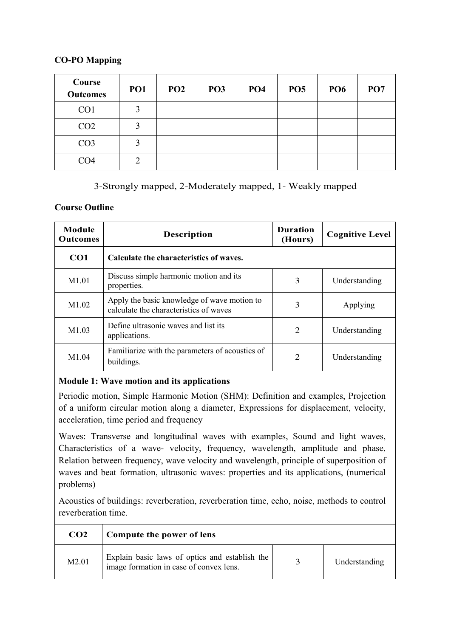### **CO-PO Mapping**

| Course<br><b>Outcomes</b> | PO <sub>1</sub> | PO <sub>2</sub> | PO <sub>3</sub> | PO <sub>4</sub> | <b>PO5</b> | <b>PO6</b> | PO <sub>7</sub> |
|---------------------------|-----------------|-----------------|-----------------|-----------------|------------|------------|-----------------|
| CO <sub>1</sub>           | 3               |                 |                 |                 |            |            |                 |
| CO <sub>2</sub>           | 3               |                 |                 |                 |            |            |                 |
| CO <sub>3</sub>           | 3               |                 |                 |                 |            |            |                 |
| CO <sub>4</sub>           | ◠               |                 |                 |                 |            |            |                 |

# 3-Strongly mapped, 2-Moderately mapped, 1- Weakly mapped

## **Course Outline**

| <b>Module</b><br><b>Outcomes</b> | <b>Description</b>                                                                    | <b>Duration</b><br>(Hours) | <b>Cognitive Level</b> |
|----------------------------------|---------------------------------------------------------------------------------------|----------------------------|------------------------|
| CO <sub>1</sub>                  | Calculate the characteristics of waves.                                               |                            |                        |
| M1.01                            | Discuss simple harmonic motion and its<br>properties.                                 | 3                          | Understanding          |
| M <sub>1.02</sub>                | Apply the basic knowledge of wave motion to<br>calculate the characteristics of waves | 3                          | Applying               |
| M1.03                            | Define ultrasonic waves and list its<br>applications.                                 | $\overline{2}$             | Understanding          |
| M1.04                            | Familiarize with the parameters of acoustics of<br>buildings.                         | $\overline{2}$             | Understanding          |

# **Module 1: Wave motion and its applications**

Periodic motion, Simple Harmonic Motion (SHM): Definition and examples, Projection of a uniform circular motion along a diameter, Expressions for displacement, velocity, acceleration, time period and frequency

Waves: Transverse and longitudinal waves with examples, Sound and light waves, Characteristics of a wave- velocity, frequency, wavelength, amplitude and phase, Relation between frequency, wave velocity and wavelength, principle of superposition of waves and beat formation, ultrasonic waves: properties and its applications, (numerical problems)

Acoustics of buildings: reverberation, reverberation time, echo, noise, methods to control reverberation time.

| CO <sub>2</sub> | Compute the power of lens                                                                 |               |
|-----------------|-------------------------------------------------------------------------------------------|---------------|
| M2.01           | Explain basic laws of optics and establish the<br>image formation in case of convex lens. | Understanding |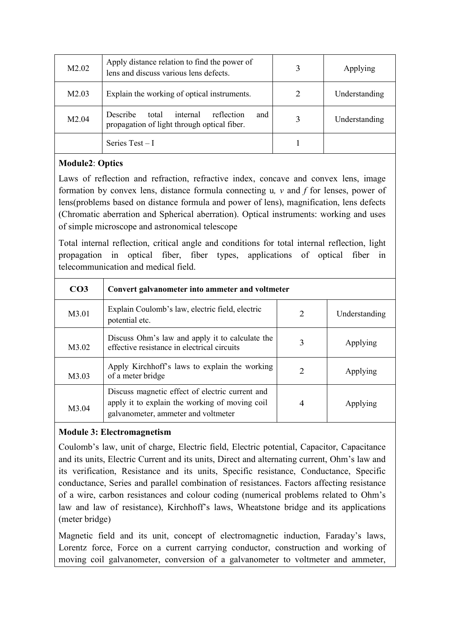| M <sub>2.02</sub>  | Apply distance relation to find the power of<br>lens and discuss various lens defects.                   | 3 | Applying      |
|--------------------|----------------------------------------------------------------------------------------------------------|---|---------------|
| M <sub>2.0</sub> 3 | Explain the working of optical instruments.                                                              | 2 | Understanding |
| M <sub>2.04</sub>  | <b>Describe</b><br>reflection<br>internal<br>total<br>and<br>propagation of light through optical fiber. | 3 | Understanding |
|                    | Series $Test-I$                                                                                          |   |               |

## **Module2**: **Optics**

Laws of reflection and refraction, refractive index, concave and convex lens, image formation by convex lens, distance formula connecting u*, v* and *f* for lenses, power of lens(problems based on distance formula and power of lens), magnification, lens defects (Chromatic aberration and Spherical aberration). Optical instruments: working and uses of simple microscope and astronomical telescope

Total internal reflection, critical angle and conditions for total internal reflection, light propagation in optical fiber, fiber types, applications of optical fiber in telecommunication and medical field.

| CO <sub>3</sub> | Convert galvanometer into ammeter and voltmeter                                                                                          |                |               |
|-----------------|------------------------------------------------------------------------------------------------------------------------------------------|----------------|---------------|
| M3.01           | Explain Coulomb's law, electric field, electric<br>potential etc.                                                                        | $\overline{2}$ | Understanding |
| M3.02           | Discuss Ohm's law and apply it to calculate the<br>effective resistance in electrical circuits                                           | 3              | Applying      |
| M3.03           | Apply Kirchhoff's laws to explain the working<br>of a meter bridge                                                                       | $\overline{2}$ | Applying      |
| M3.04           | Discuss magnetic effect of electric current and<br>apply it to explain the working of moving coil<br>galvanometer, ammeter and voltmeter | $\overline{4}$ | Applying      |

### **Module 3: Electromagnetism**

Coulomb's law, unit of charge, Electric field, Electric potential, Capacitor, Capacitance and its units, Electric Current and its units, Direct and alternating current, Ohm's law and its verification, Resistance and its units, Specific resistance, Conductance, Specific conductance, Series and parallel combination of resistances. Factors affecting resistance of a wire, carbon resistances and colour coding (numerical problems related to Ohm's law and law of resistance), Kirchhoff's laws, Wheatstone bridge and its applications (meter bridge)

Magnetic field and its unit, concept of electromagnetic induction, Faraday's laws, Lorentz force, Force on a current carrying conductor, construction and working of moving coil galvanometer, conversion of a galvanometer to voltmeter and ammeter,